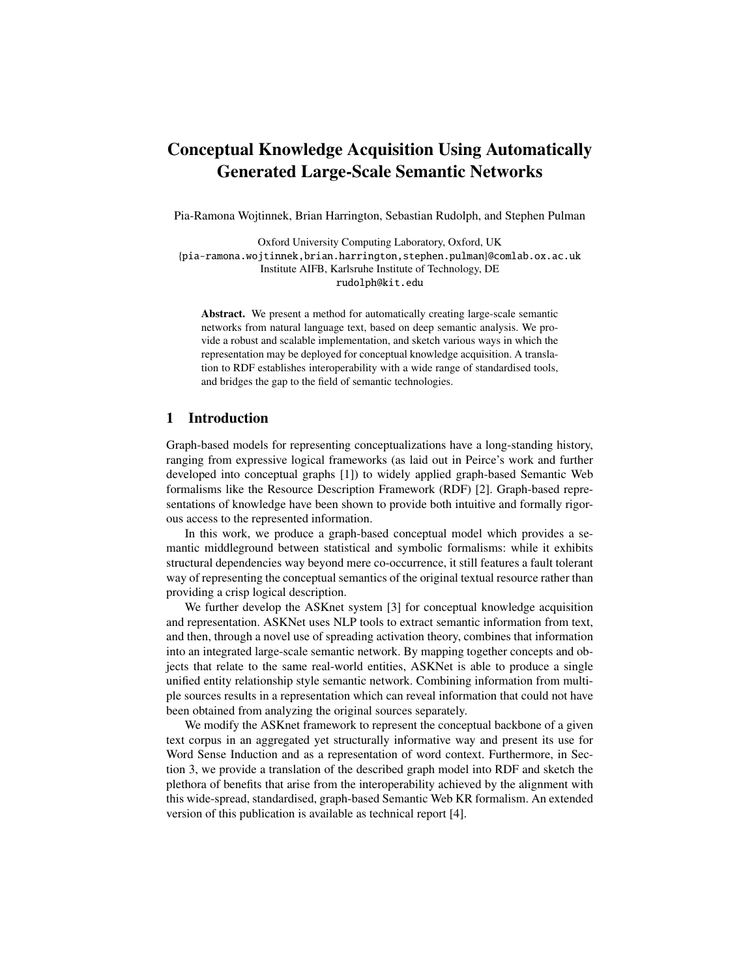# Conceptual Knowledge Acquisition Using Automatically Generated Large-Scale Semantic Networks

Pia-Ramona Wojtinnek, Brian Harrington, Sebastian Rudolph, and Stephen Pulman

Oxford University Computing Laboratory, Oxford, UK {pia-ramona.wojtinnek,brian.harrington,stephen.pulman}@comlab.ox.ac.uk Institute AIFB, Karlsruhe Institute of Technology, DE rudolph@kit.edu

Abstract. We present a method for automatically creating large-scale semantic networks from natural language text, based on deep semantic analysis. We provide a robust and scalable implementation, and sketch various ways in which the representation may be deployed for conceptual knowledge acquisition. A translation to RDF establishes interoperability with a wide range of standardised tools, and bridges the gap to the field of semantic technologies.

#### 1 Introduction

Graph-based models for representing conceptualizations have a long-standing history, ranging from expressive logical frameworks (as laid out in Peirce's work and further developed into conceptual graphs [1]) to widely applied graph-based Semantic Web formalisms like the Resource Description Framework (RDF) [2]. Graph-based representations of knowledge have been shown to provide both intuitive and formally rigorous access to the represented information.

In this work, we produce a graph-based conceptual model which provides a semantic middleground between statistical and symbolic formalisms: while it exhibits structural dependencies way beyond mere co-occurrence, it still features a fault tolerant way of representing the conceptual semantics of the original textual resource rather than providing a crisp logical description.

We further develop the ASKnet system [3] for conceptual knowledge acquisition and representation. ASKNet uses NLP tools to extract semantic information from text, and then, through a novel use of spreading activation theory, combines that information into an integrated large-scale semantic network. By mapping together concepts and objects that relate to the same real-world entities, ASKNet is able to produce a single unified entity relationship style semantic network. Combining information from multiple sources results in a representation which can reveal information that could not have been obtained from analyzing the original sources separately.

We modify the ASKnet framework to represent the conceptual backbone of a given text corpus in an aggregated yet structurally informative way and present its use for Word Sense Induction and as a representation of word context. Furthermore, in Section 3, we provide a translation of the described graph model into RDF and sketch the plethora of benefits that arise from the interoperability achieved by the alignment with this wide-spread, standardised, graph-based Semantic Web KR formalism. An extended version of this publication is available as technical report [4].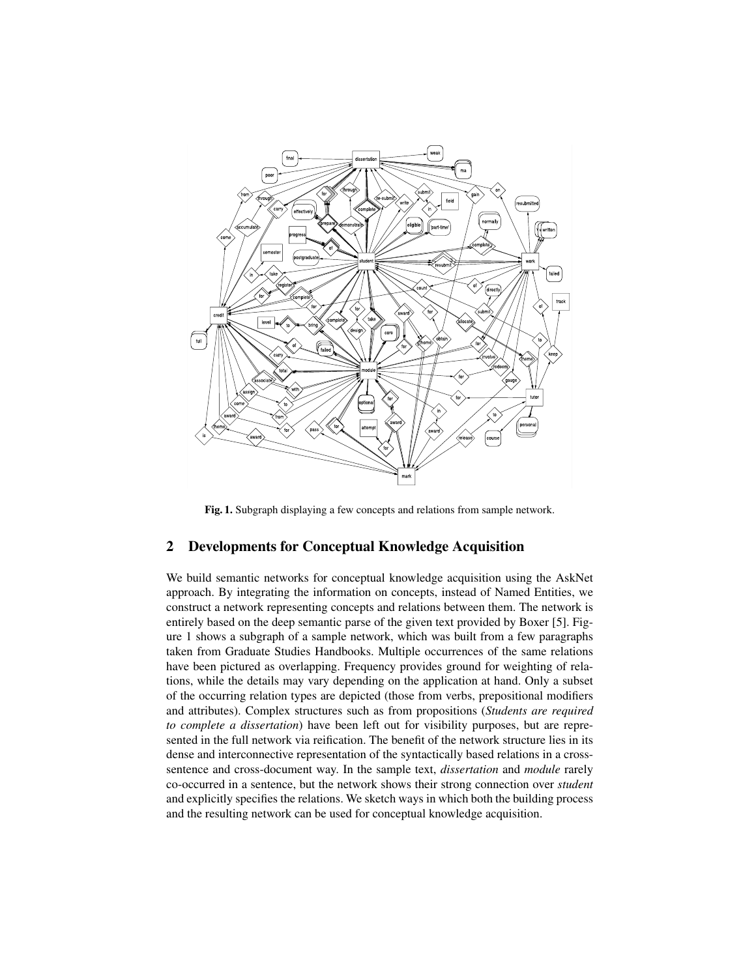

Fig. 1. Subgraph displaying a few concepts and relations from sample network.

### 2 Developments for Conceptual Knowledge Acquisition

We build semantic networks for conceptual knowledge acquisition using the AskNet approach. By integrating the information on concepts, instead of Named Entities, we construct a network representing concepts and relations between them. The network is entirely based on the deep semantic parse of the given text provided by Boxer [5]. Figure 1 shows a subgraph of a sample network, which was built from a few paragraphs taken from Graduate Studies Handbooks. Multiple occurrences of the same relations have been pictured as overlapping. Frequency provides ground for weighting of relations, while the details may vary depending on the application at hand. Only a subset of the occurring relation types are depicted (those from verbs, prepositional modifiers and attributes). Complex structures such as from propositions (*Students are required to complete a dissertation*) have been left out for visibility purposes, but are represented in the full network via reification. The benefit of the network structure lies in its dense and interconnective representation of the syntactically based relations in a crosssentence and cross-document way. In the sample text, *dissertation* and *module* rarely co-occurred in a sentence, but the network shows their strong connection over *student* and explicitly specifies the relations. We sketch ways in which both the building process and the resulting network can be used for conceptual knowledge acquisition.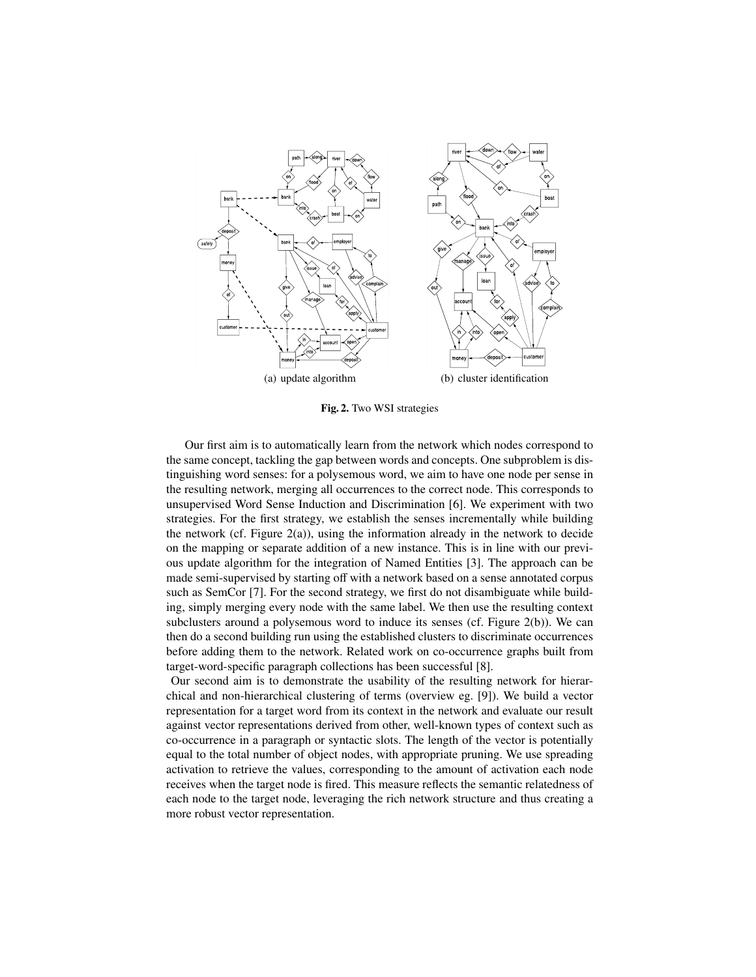

Fig. 2. Two WSI strategies

Our first aim is to automatically learn from the network which nodes correspond to the same concept, tackling the gap between words and concepts. One subproblem is distinguishing word senses: for a polysemous word, we aim to have one node per sense in the resulting network, merging all occurrences to the correct node. This corresponds to unsupervised Word Sense Induction and Discrimination [6]. We experiment with two strategies. For the first strategy, we establish the senses incrementally while building the network (cf. Figure  $2(a)$ ), using the information already in the network to decide on the mapping or separate addition of a new instance. This is in line with our previous update algorithm for the integration of Named Entities [3]. The approach can be made semi-supervised by starting off with a network based on a sense annotated corpus such as SemCor [7]. For the second strategy, we first do not disambiguate while building, simply merging every node with the same label. We then use the resulting context subclusters around a polysemous word to induce its senses  $(cf. Figure 2(b))$ . We can then do a second building run using the established clusters to discriminate occurrences before adding them to the network. Related work on co-occurrence graphs built from target-word-specific paragraph collections has been successful [8].

Our second aim is to demonstrate the usability of the resulting network for hierarchical and non-hierarchical clustering of terms (overview eg. [9]). We build a vector representation for a target word from its context in the network and evaluate our result against vector representations derived from other, well-known types of context such as co-occurrence in a paragraph or syntactic slots. The length of the vector is potentially equal to the total number of object nodes, with appropriate pruning. We use spreading activation to retrieve the values, corresponding to the amount of activation each node receives when the target node is fired. This measure reflects the semantic relatedness of each node to the target node, leveraging the rich network structure and thus creating a more robust vector representation.